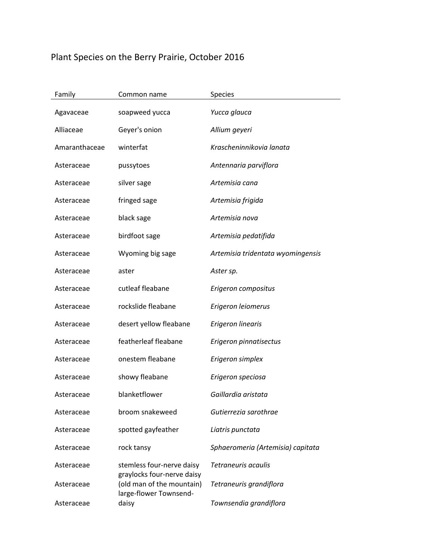## Plant Species on the Berry Prairie, October 2016

| Family        | Common name                                             | <b>Species</b>                    |
|---------------|---------------------------------------------------------|-----------------------------------|
| Agavaceae     | soapweed yucca                                          | Yucca glauca                      |
| Alliaceae     | Geyer's onion                                           | Allium geyeri                     |
| Amaranthaceae | winterfat                                               | Krascheninnikovia lanata          |
| Asteraceae    | pussytoes                                               | Antennaria parviflora             |
| Asteraceae    | silver sage                                             | Artemisia cana                    |
| Asteraceae    | fringed sage                                            | Artemisia frigida                 |
| Asteraceae    | black sage                                              | Artemisia nova                    |
| Asteraceae    | birdfoot sage                                           | Artemisia pedatifida              |
| Asteraceae    | Wyoming big sage                                        | Artemisia tridentata wyomingensis |
| Asteraceae    | aster                                                   | Aster sp.                         |
| Asteraceae    | cutleaf fleabane                                        | Erigeron compositus               |
| Asteraceae    | rockslide fleabane                                      | Erigeron leiomerus                |
| Asteraceae    | desert yellow fleabane                                  | Erigeron linearis                 |
| Asteraceae    | featherleaf fleabane                                    | Erigeron pinnatisectus            |
| Asteraceae    | onestem fleabane                                        | Erigeron simplex                  |
| Asteraceae    | showy fleabane                                          | Erigeron speciosa                 |
| Asteraceae    | blanketflower                                           | Gaillardia aristata               |
| Asteraceae    | broom snakeweed                                         | Gutierrezia sarothrae             |
| Asteraceae    | spotted gayfeather                                      | Liatris punctata                  |
| Asteraceae    | rock tansy                                              | Sphaeromeria (Artemisia) capitata |
| Asteraceae    | stemless four-nerve daisy                               | Tetraneuris acaulis               |
| Asteraceae    | graylocks four-nerve daisy<br>(old man of the mountain) | Tetraneuris grandiflora           |
| Asteraceae    | large-flower Townsend-<br>daisy                         | Townsendia grandiflora            |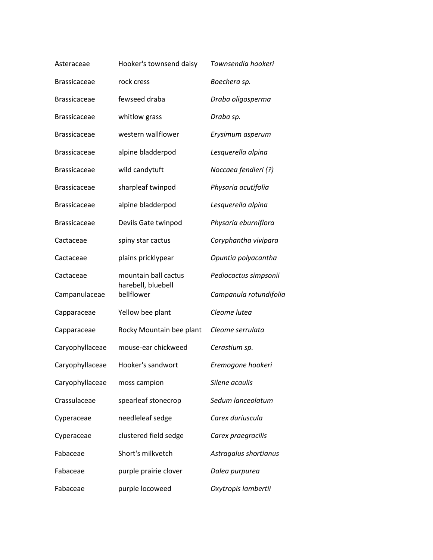| Asteraceae          | Hooker's townsend daisy          | Townsendia hookeri     |
|---------------------|----------------------------------|------------------------|
| <b>Brassicaceae</b> | rock cress                       | Boechera sp.           |
| <b>Brassicaceae</b> | fewseed draba                    | Draba oligosperma      |
| <b>Brassicaceae</b> | whitlow grass                    | Draba sp.              |
| <b>Brassicaceae</b> | western wallflower               | Erysimum asperum       |
| <b>Brassicaceae</b> | alpine bladderpod                | Lesquerella alpina     |
| <b>Brassicaceae</b> | wild candytuft                   | Noccaea fendleri (?)   |
| <b>Brassicaceae</b> | sharpleaf twinpod                | Physaria acutifolia    |
| <b>Brassicaceae</b> | alpine bladderpod                | Lesquerella alpina     |
| <b>Brassicaceae</b> | Devils Gate twinpod              | Physaria eburniflora   |
| Cactaceae           | spiny star cactus                | Coryphantha vivipara   |
| Cactaceae           | plains pricklypear               | Opuntia polyacantha    |
| Cactaceae           | mountain ball cactus             | Pediocactus simpsonii  |
| Campanulaceae       | harebell, bluebell<br>bellflower | Campanula rotundifolia |
| Capparaceae         | Yellow bee plant                 | Cleome lutea           |
| Capparaceae         | Rocky Mountain bee plant         | Cleome serrulata       |
| Caryophyllaceae     | mouse-ear chickweed              | Cerastium sp.          |
| Caryophyllaceae     | Hooker's sandwort                | Eremogone hookeri      |
| Caryophyllaceae     | moss campion                     | Silene acaulis         |
| Crassulaceae        | spearleaf stonecrop              | Sedum lanceolatum      |
| Cyperaceae          | needleleaf sedge                 | Carex duriuscula       |
| Cyperaceae          | clustered field sedge            | Carex praegracilis     |
| Fabaceae            | Short's milkvetch                | Astragalus shortianus  |
| Fabaceae            | purple prairie clover            | Dalea purpurea         |
| Fabaceae            | purple locoweed                  | Oxytropis lambertii    |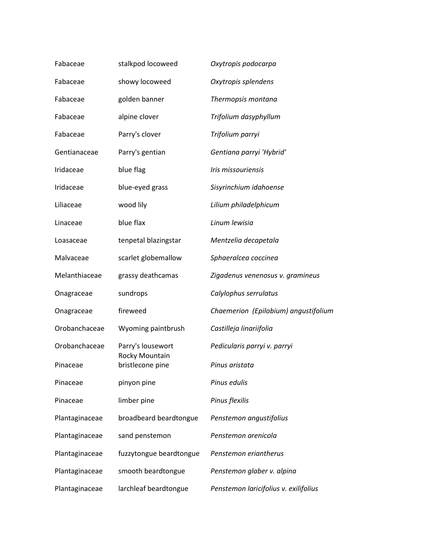| Fabaceae       | stalkpod locoweed                                       | Oxytropis podocarpa                   |
|----------------|---------------------------------------------------------|---------------------------------------|
| Fabaceae       | showy locoweed                                          | Oxytropis splendens                   |
| Fabaceae       | golden banner                                           | Thermopsis montana                    |
| Fabaceae       | alpine clover                                           | Trifolium dasyphyllum                 |
| Fabaceae       | Parry's clover                                          | Trifolium parryi                      |
| Gentianaceae   | Parry's gentian                                         | Gentiana parryi 'Hybrid'              |
| Iridaceae      | blue flag                                               | Iris missouriensis                    |
| Iridaceae      | blue-eyed grass                                         | Sisyrinchium idahoense                |
| Liliaceae      | wood lily                                               | Lilium philadelphicum                 |
| Linaceae       | blue flax                                               | Linum lewisia                         |
| Loasaceae      | tenpetal blazingstar                                    | Mentzelia decapetala                  |
| Malvaceae      | scarlet globemallow                                     | Sphaeralcea coccinea                  |
| Melanthiaceae  | grassy deathcamas                                       | Zigadenus venenosus v. gramineus      |
| Onagraceae     | sundrops                                                | Calylophus serrulatus                 |
| Onagraceae     | fireweed                                                | Chaemerion (Epilobium) angustifolium  |
| Orobanchaceae  | Wyoming paintbrush                                      | Castilleja linariifolia               |
| Orobanchaceae  | Parry's lousewort<br>Rocky Mountain<br>bristlecone pine | Pedicularis parryi v. parryi          |
| Pinaceae       |                                                         | Pinus aristata                        |
| Pinaceae       | pinyon pine                                             | Pinus edulis                          |
| Pinaceae       | limber pine                                             | Pinus flexilis                        |
| Plantaginaceae | broadbeard beardtongue                                  | Penstemon angustifolius               |
| Plantaginaceae | sand penstemon                                          | Penstemon arenicola                   |
| Plantaginaceae | fuzzytongue beardtongue                                 | Penstemon eriantherus                 |
| Plantaginaceae | smooth beardtongue                                      | Penstemon glaber v. alpina            |
| Plantaginaceae | larchleaf beardtongue                                   | Penstemon laricifolius v. exilifolius |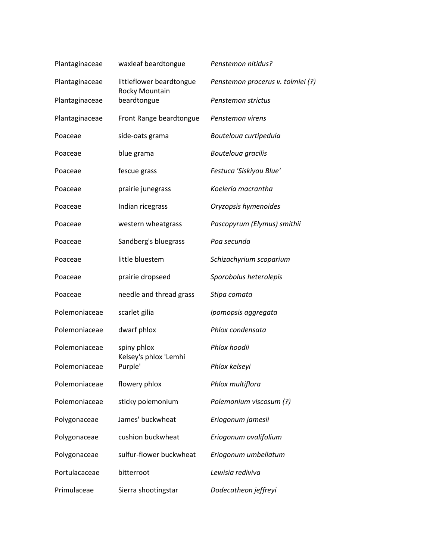| Plantaginaceae | waxleaf beardtongue                             | Penstemon nitidus?                |
|----------------|-------------------------------------------------|-----------------------------------|
| Plantaginaceae | littleflower beardtongue                        | Penstemon procerus v. tolmiei (?) |
| Plantaginaceae | Rocky Mountain<br>beardtongue                   | Penstemon strictus                |
| Plantaginaceae | Front Range beardtongue                         | Penstemon virens                  |
| Poaceae        | side-oats grama                                 | Bouteloua curtipedula             |
| Poaceae        | blue grama                                      | Bouteloua gracilis                |
| Poaceae        | fescue grass                                    | Festuca 'Siskiyou Blue'           |
| Poaceae        | prairie junegrass                               | Koeleria macrantha                |
| Poaceae        | Indian ricegrass                                | Oryzopsis hymenoides              |
| Poaceae        | western wheatgrass                              | Pascopyrum (Elymus) smithii       |
| Poaceae        | Sandberg's bluegrass                            | Poa secunda                       |
| Poaceae        | little bluestem                                 | Schizachyrium scoparium           |
| Poaceae        | prairie dropseed                                | Sporobolus heterolepis            |
| Poaceae        | needle and thread grass                         | Stipa comata                      |
| Polemoniaceae  | scarlet gilia                                   | Ipomopsis aggregata               |
| Polemoniaceae  | dwarf phlox                                     | Phlox condensata                  |
| Polemoniaceae  | spiny phlox<br>Kelsey's phlox 'Lemhi<br>Purple' | Phlox hoodii                      |
| Polemoniaceae  |                                                 | Phlox kelseyi                     |
| Polemoniaceae  | flowery phlox                                   | Phlox multiflora                  |
| Polemoniaceae  | sticky polemonium                               | Polemonium viscosum (?)           |
| Polygonaceae   | James' buckwheat                                | Eriogonum jamesii                 |
| Polygonaceae   | cushion buckwheat                               | Eriogonum ovalifolium             |
| Polygonaceae   | sulfur-flower buckwheat                         | Eriogonum umbellatum              |
| Portulacaceae  | bitterroot                                      | Lewisia rediviva                  |
| Primulaceae    | Sierra shootingstar                             | Dodecatheon jeffreyi              |